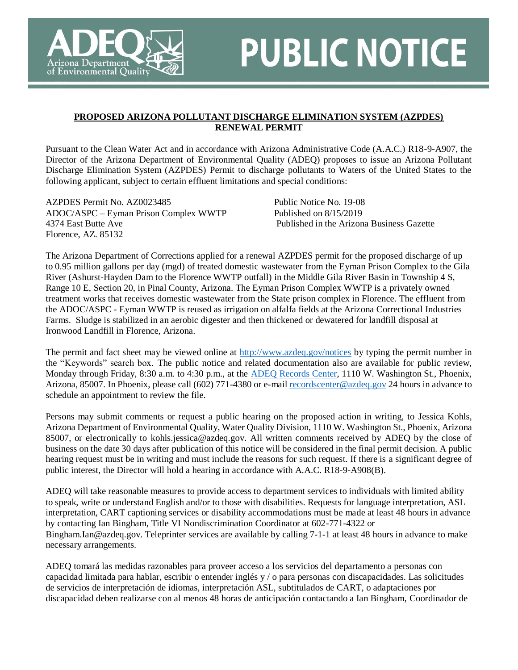

## **PUBLIC NOTICE**

## **PROPOSED ARIZONA POLLUTANT DISCHARGE ELIMINATION SYSTEM (AZPDES) RENEWAL PERMIT**

Pursuant to the Clean Water Act and in accordance with Arizona Administrative Code (A.A.C.) R18-9-A907, the Director of the Arizona Department of Environmental Quality (ADEQ) proposes to issue an Arizona Pollutant Discharge Elimination System (AZPDES) Permit to discharge pollutants to Waters of the United States to the following applicant, subject to certain effluent limitations and special conditions:

AZPDES Permit No. AZ0023485 ADOC/ASPC – Eyman Prison Complex WWTP 4374 East Butte Ave Florence, AZ. 85132

Public Notice No. 19-08 Published on 8/15/2019 Published in the Arizona Business Gazette

The Arizona Department of Corrections applied for a renewal AZPDES permit for the proposed discharge of up to 0.95 million gallons per day (mgd) of treated domestic wastewater from the Eyman Prison Complex to the Gila River (Ashurst-Hayden Dam to the Florence WWTP outfall) in the Middle Gila River Basin in Township 4 S, Range 10 E, Section 20, in Pinal County, Arizona. The Eyman Prison Complex WWTP is a privately owned treatment works that receives domestic wastewater from the State prison complex in Florence. The effluent from the ADOC/ASPC - Eyman WWTP is reused as irrigation on alfalfa fields at the Arizona Correctional Industries Farms. Sludge is stabilized in an aerobic digester and then thickened or dewatered for landfill disposal at Ironwood Landfill in Florence, Arizona.

The permit and fact sheet may be viewed online at<http://www.azdeq.gov/notices> by typing the permit number in the "Keywords" search box. The public notice and related documentation also are available for public review, Monday through Friday, 8:30 a.m. to 4:30 p.m., at the [ADEQ Records Center,](http://azdeq.gov/function/assistance/records.html) 1110 W. Washington St., Phoenix, Arizona, 85007. In Phoenix, please call (602) 771-4380 or e-mail [recordscenter@azdeq.gov](mailto:recordscenter@azdeq.gov) 24 hours in advance to schedule an appointment to review the file.

Persons may submit comments or request a public hearing on the proposed action in writing, to Jessica Kohls, Arizona Department of Environmental Quality, Water Quality Division, 1110 W. Washington St., Phoenix, Arizona 85007, or electronically to kohls.jessica@azdeq.gov. All written comments received by ADEQ by the close of business on the date 30 days after publication of this notice will be considered in the final permit decision. A public hearing request must be in writing and must include the reasons for such request. If there is a significant degree of public interest, the Director will hold a hearing in accordance with A.A.C. R18-9-A908(B).

ADEQ will take reasonable measures to provide access to department services to individuals with limited ability to speak, write or understand English and/or to those with disabilities. Requests for language interpretation, ASL interpretation, CART captioning services or disability accommodations must be made at least 48 hours in advance by contacting Ian Bingham, Title VI Nondiscrimination Coordinator at 602-771-4322 or Bingham.Ian@azdeq.gov. Teleprinter services are available by calling 7-1-1 at least 48 hours in advance to make necessary arrangements.

ADEQ tomará las medidas razonables para proveer acceso a los servicios del departamento a personas con capacidad limitada para hablar, escribir o entender inglés y / o para personas con discapacidades. Las solicitudes de servicios de interpretación de idiomas, interpretación ASL, subtitulados de CART, o adaptaciones por discapacidad deben realizarse con al menos 48 horas de anticipación contactando a Ian Bingham, Coordinador de